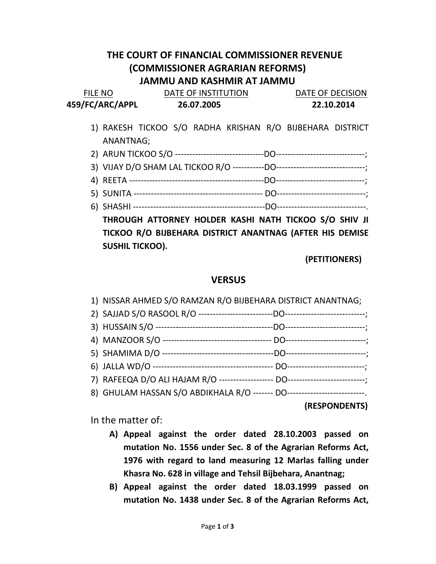## THE COURT OF FINANCIAL COMMISSIONER REVENUE (COMMISSIONER AGRARIAN REFORMS) JAMMU AND KASHMIR AT JAMMU

| <b>FILE NO</b>  | DATE OF INSTITUTION | DATE OF DECISION |  |
|-----------------|---------------------|------------------|--|
| 459/FC/ARC/APPL | 26.07.2005          | 22.10.2014       |  |

- 1) RAKESH TICKOO S/O RADHA KRISHAN R/O BIJBEHARA DISTRICT ANANTNAG;
- 2) ARUN TICKOO S/O -------------------------------DO-------------------------------;
- 3) VIJAY D/O SHAM LAL TICKOO R/O -----------DO-------------------------------;
- 4) REETA -----------------------------------------------DO-------------------------------;
- 5) SUNITA --------------------------------------------- DO-------------------------------;
- 6) SHASHI ----------------------------------------------DO-------------------------------.

THROUGH ATTORNEY HOLDER KASHI NATH TICKOO S/O SHIV JI TICKOO R/O BIJBEHARA DISTRICT ANANTNAG (AFTER HIS DEMISE SUSHIL TICKOO).

(PETITIONERS)

## **VERSUS**

| 1) NISSAR AHMED S/O RAMZAN R/O BIJBEHARA DISTRICT ANANTNAG; |  |
|-------------------------------------------------------------|--|
|                                                             |  |
|                                                             |  |
|                                                             |  |
|                                                             |  |
|                                                             |  |
|                                                             |  |
|                                                             |  |

(RESPONDENTS)

In the matter of:

- A) Appeal against the order dated 28.10.2003 passed on mutation No. 1556 under Sec. 8 of the Agrarian Reforms Act, 1976 with regard to land measuring 12 Marlas falling under Khasra No. 628 in village and Tehsil Bijbehara, Anantnag;
- B) Appeal against the order dated 18.03.1999 passed on mutation No. 1438 under Sec. 8 of the Agrarian Reforms Act,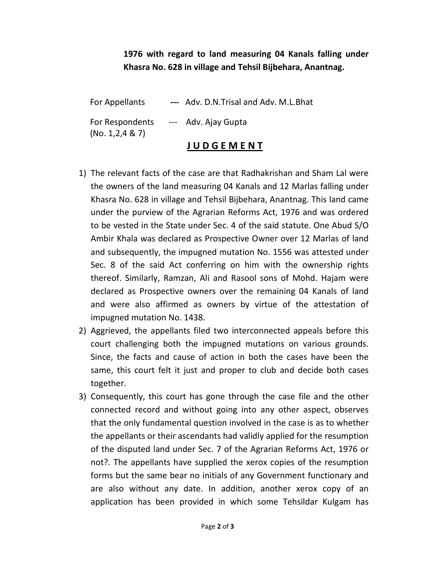## 1976 with regard to land measuring 04 Kanals falling under Khasra No. 628 in village and Tehsil Bijbehara, Anantnag.

|                                      | <b>JUDGEMENT</b>                        |
|--------------------------------------|-----------------------------------------|
| For Respondents<br>(No. 1, 2, 4 & 7) | --- Adv. Ajay Gupta                     |
| For Appellants                       | --- Adv. D.N. Trisal and Adv. M.L. Bhat |

- 1) The relevant facts of the case are that Radhakrishan and Sham Lal were the owners of the land measuring 04 Kanals and 12 Marlas falling under Khasra No. 628 in village and Tehsil Bijbehara, Anantnag. This land came under the purview of the Agrarian Reforms Act, 1976 and was ordered to be vested in the State under Sec. 4 of the said statute. One Abud S/O Ambir Khala was declared as Prospective Owner over 12 Marlas of land and subsequently, the impugned mutation No. 1556 was attested under Sec. 8 of the said Act conferring on him with the ownership rights thereof. Similarly, Ramzan, Ali and Rasool sons of Mohd. Hajam were declared as Prospective owners over the remaining 04 Kanals of land and were also affirmed as owners by virtue of the attestation of impugned mutation No. 1438.
- 2) Aggrieved, the appellants filed two interconnected appeals before this court challenging both the impugned mutations on various grounds. Since, the facts and cause of action in both the cases have been the same, this court felt it just and proper to club and decide both cases together.
- 3) Consequently, this court has gone through the case file and the other connected record and without going into any other aspect, observes that the only fundamental question involved in the case is as to whether the appellants or their ascendants had validly applied for the resumption of the disputed land under Sec. 7 of the Agrarian Reforms Act, 1976 or not?. The appellants have supplied the xerox copies of the resumption forms but the same bear no initials of any Government functionary and are also without any date. In addition, another xerox copy of an application has been provided in which some Tehsildar Kulgam has